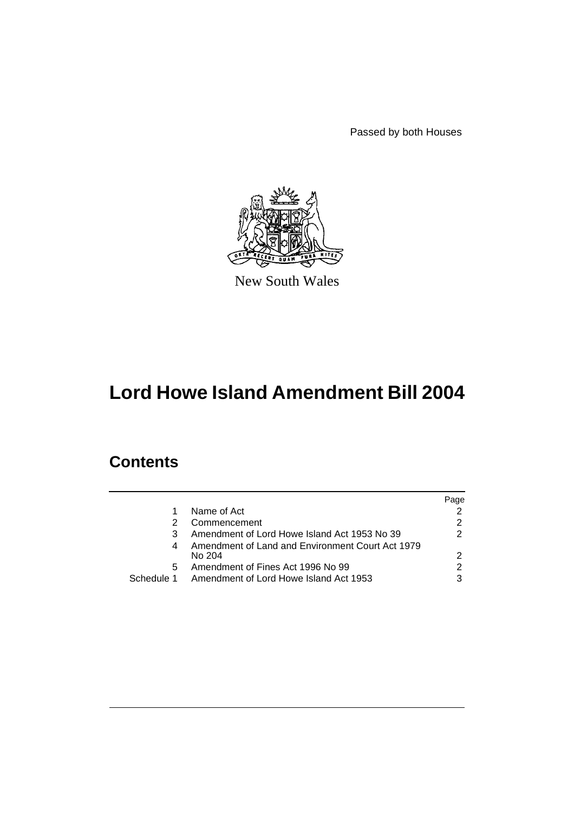Passed by both Houses



New South Wales

# **Lord Howe Island Amendment Bill 2004**

# **Contents**

|            |                                                            | Page          |
|------------|------------------------------------------------------------|---------------|
|            | Name of Act                                                |               |
|            | Commencement                                               | $\mathcal{P}$ |
|            | Amendment of Lord Howe Island Act 1953 No 39               | 2             |
|            | Amendment of Land and Environment Court Act 1979<br>No 204 | 2             |
| 5          | Amendment of Fines Act 1996 No 99                          | 2             |
| Schedule 1 | Amendment of Lord Howe Island Act 1953                     | 3             |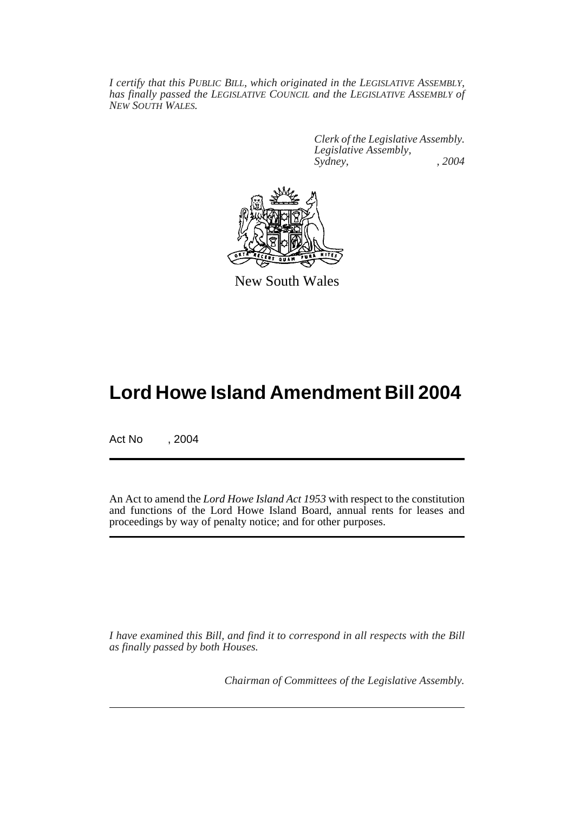*I certify that this PUBLIC BILL, which originated in the LEGISLATIVE ASSEMBLY, has finally passed the LEGISLATIVE COUNCIL and the LEGISLATIVE ASSEMBLY of NEW SOUTH WALES.*

> *Clerk of the Legislative Assembly. Legislative Assembly, Sydney, , 2004*



New South Wales

# **Lord Howe Island Amendment Bill 2004**

Act No , 2004

An Act to amend the *Lord Howe Island Act 1953* with respect to the constitution and functions of the Lord Howe Island Board, annual rents for leases and proceedings by way of penalty notice; and for other purposes.

*I have examined this Bill, and find it to correspond in all respects with the Bill as finally passed by both Houses.*

*Chairman of Committees of the Legislative Assembly.*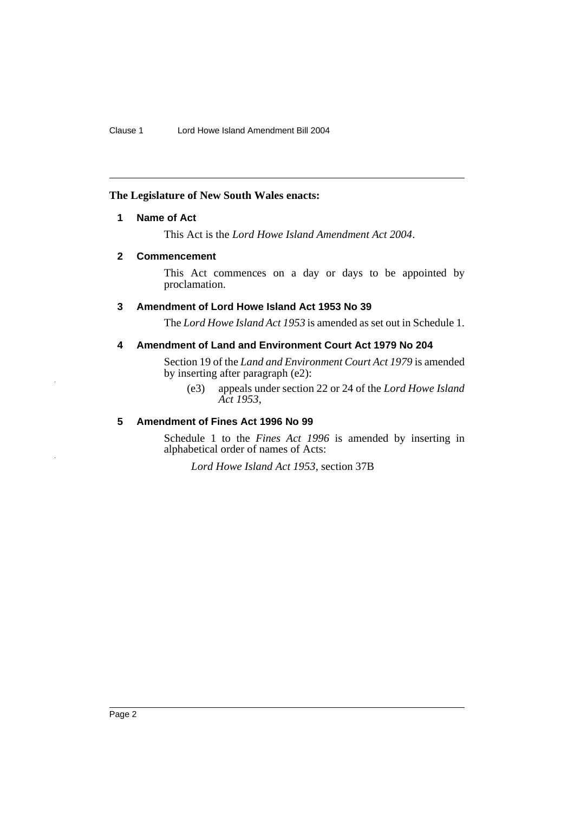## **The Legislature of New South Wales enacts:**

## **1 Name of Act**

This Act is the *Lord Howe Island Amendment Act 2004*.

## **2 Commencement**

This Act commences on a day or days to be appointed by proclamation.

## **3 Amendment of Lord Howe Island Act 1953 No 39**

The *Lord Howe Island Act 1953* is amended as set out in Schedule 1.

## **4 Amendment of Land and Environment Court Act 1979 No 204**

Section 19 of the *Land and Environment Court Act 1979* is amended by inserting after paragraph (e2):

(e3) appeals under section 22 or 24 of the *Lord Howe Island Act 1953*,

## **5 Amendment of Fines Act 1996 No 99**

Schedule 1 to the *Fines Act 1996* is amended by inserting in alphabetical order of names of Acts:

*Lord Howe Island Act 1953*, section 37B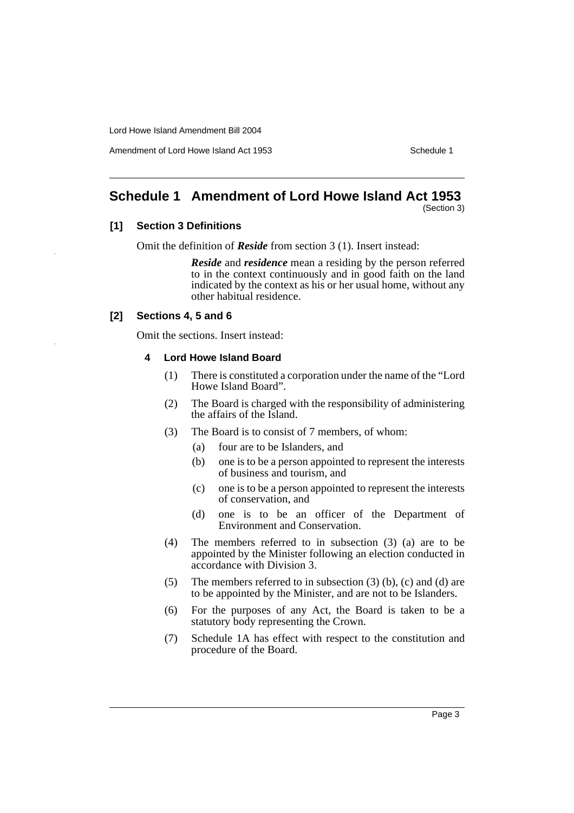Amendment of Lord Howe Island Act 1953 New York 1953

# **Schedule 1 Amendment of Lord Howe Island Act 1953**

(Section 3)

## **[1] Section 3 Definitions**

Omit the definition of *Reside* from section 3 (1). Insert instead:

*Reside* and *residence* mean a residing by the person referred to in the context continuously and in good faith on the land indicated by the context as his or her usual home, without any other habitual residence.

### **[2] Sections 4, 5 and 6**

Omit the sections. Insert instead:

#### **4 Lord Howe Island Board**

- (1) There is constituted a corporation under the name of the "Lord Howe Island Board".
- (2) The Board is charged with the responsibility of administering the affairs of the Island.
- (3) The Board is to consist of 7 members, of whom:
	- (a) four are to be Islanders, and
	- (b) one is to be a person appointed to represent the interests of business and tourism, and
	- (c) one is to be a person appointed to represent the interests of conservation, and
	- (d) one is to be an officer of the Department of Environment and Conservation.
- (4) The members referred to in subsection (3) (a) are to be appointed by the Minister following an election conducted in accordance with Division 3.
- (5) The members referred to in subsection (3) (b), (c) and (d) are to be appointed by the Minister, and are not to be Islanders.
- (6) For the purposes of any Act, the Board is taken to be a statutory body representing the Crown.
- (7) Schedule 1A has effect with respect to the constitution and procedure of the Board.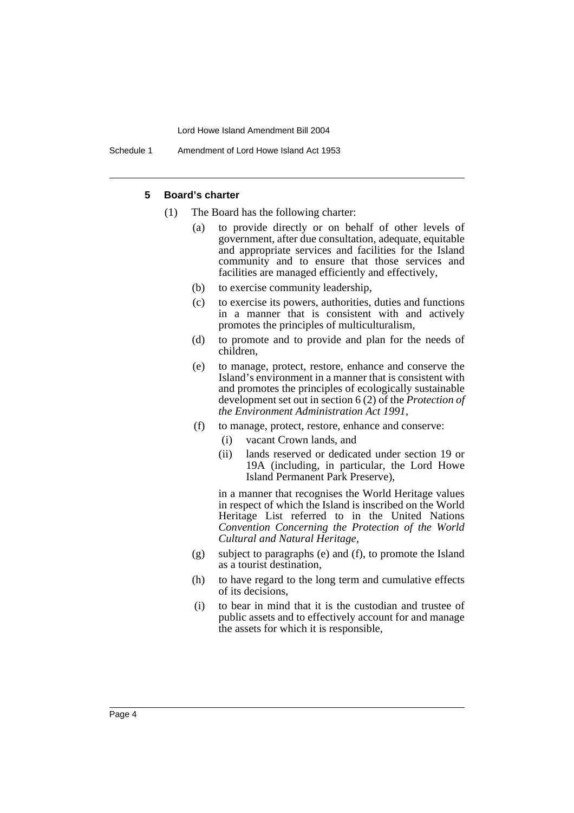Schedule 1 Amendment of Lord Howe Island Act 1953

#### **5 Board's charter**

- (1) The Board has the following charter:
	- (a) to provide directly or on behalf of other levels of government, after due consultation, adequate, equitable and appropriate services and facilities for the Island community and to ensure that those services and facilities are managed efficiently and effectively,
	- (b) to exercise community leadership,
	- (c) to exercise its powers, authorities, duties and functions in a manner that is consistent with and actively promotes the principles of multiculturalism,
	- (d) to promote and to provide and plan for the needs of children,
	- (e) to manage, protect, restore, enhance and conserve the Island's environment in a manner that is consistent with and promotes the principles of ecologically sustainable development set out in section 6 (2) of the *Protection of the Environment Administration Act 1991*,
	- (f) to manage, protect, restore, enhance and conserve:
		- (i) vacant Crown lands, and
		- (ii) lands reserved or dedicated under section 19 or 19A (including, in particular, the Lord Howe Island Permanent Park Preserve),

in a manner that recognises the World Heritage values in respect of which the Island is inscribed on the World Heritage List referred to in the United Nations *Convention Concerning the Protection of the World Cultural and Natural Heritage*,

- (g) subject to paragraphs (e) and (f), to promote the Island as a tourist destination,
- (h) to have regard to the long term and cumulative effects of its decisions,
- (i) to bear in mind that it is the custodian and trustee of public assets and to effectively account for and manage the assets for which it is responsible,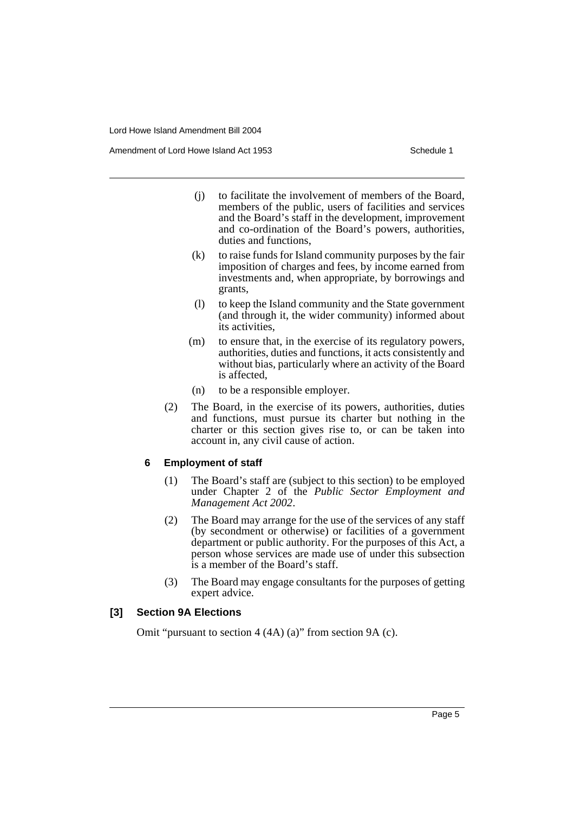Amendment of Lord Howe Island Act 1953 New York 1953

- (j) to facilitate the involvement of members of the Board, members of the public, users of facilities and services and the Board's staff in the development, improvement and co-ordination of the Board's powers, authorities, duties and functions,
- (k) to raise funds for Island community purposes by the fair imposition of charges and fees, by income earned from investments and, when appropriate, by borrowings and grants,
- (l) to keep the Island community and the State government (and through it, the wider community) informed about its activities,
- (m) to ensure that, in the exercise of its regulatory powers, authorities, duties and functions, it acts consistently and without bias, particularly where an activity of the Board is affected,
- (n) to be a responsible employer.
- (2) The Board, in the exercise of its powers, authorities, duties and functions, must pursue its charter but nothing in the charter or this section gives rise to, or can be taken into account in, any civil cause of action.

### **6 Employment of staff**

- (1) The Board's staff are (subject to this section) to be employed under Chapter 2 of the *Public Sector Employment and Management Act 2002*.
- (2) The Board may arrange for the use of the services of any staff (by secondment or otherwise) or facilities of a government department or public authority. For the purposes of this Act, a person whose services are made use of under this subsection is a member of the Board's staff.
- (3) The Board may engage consultants for the purposes of getting expert advice.

## **[3] Section 9A Elections**

Omit "pursuant to section 4 (4A) (a)" from section 9A (c).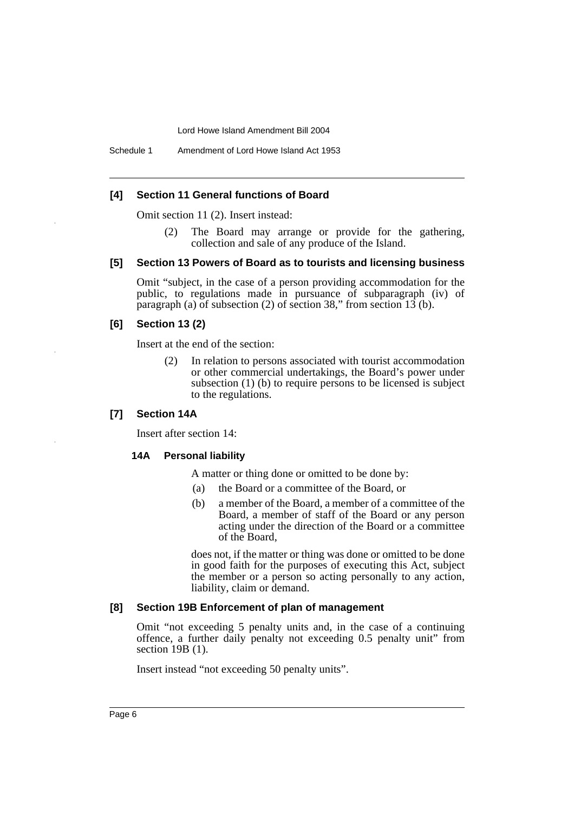Schedule 1 Amendment of Lord Howe Island Act 1953

#### **[4] Section 11 General functions of Board**

Omit section 11 (2). Insert instead:

(2) The Board may arrange or provide for the gathering, collection and sale of any produce of the Island.

## **[5] Section 13 Powers of Board as to tourists and licensing business**

Omit "subject, in the case of a person providing accommodation for the public, to regulations made in pursuance of subparagraph (iv) of paragraph (a) of subsection (2) of section 38," from section 13 (b).

#### **[6] Section 13 (2)**

Insert at the end of the section:

(2) In relation to persons associated with tourist accommodation or other commercial undertakings, the Board's power under subsection (1) (b) to require persons to be licensed is subject to the regulations.

#### **[7] Section 14A**

Insert after section 14:

#### **14A Personal liability**

A matter or thing done or omitted to be done by:

- (a) the Board or a committee of the Board, or
- (b) a member of the Board, a member of a committee of the Board, a member of staff of the Board or any person acting under the direction of the Board or a committee of the Board,

does not, if the matter or thing was done or omitted to be done in good faith for the purposes of executing this Act, subject the member or a person so acting personally to any action, liability, claim or demand.

#### **[8] Section 19B Enforcement of plan of management**

Omit "not exceeding 5 penalty units and, in the case of a continuing offence, a further daily penalty not exceeding 0.5 penalty unit" from section 19B (1).

Insert instead "not exceeding 50 penalty units".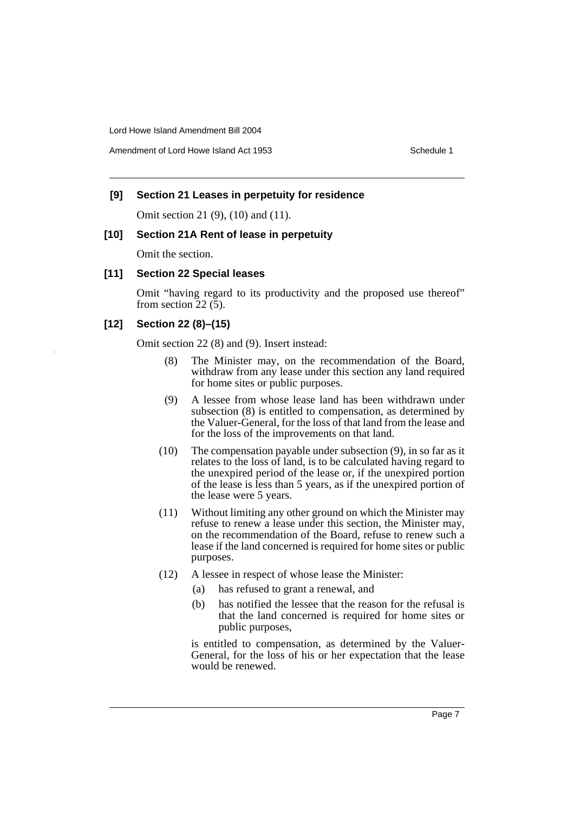Amendment of Lord Howe Island Act 1953 New York 1953

#### **[9] Section 21 Leases in perpetuity for residence**

Omit section 21 (9), (10) and (11).

### **[10] Section 21A Rent of lease in perpetuity**

Omit the section.

#### **[11] Section 22 Special leases**

Omit "having regard to its productivity and the proposed use thereof" from section  $22(5)$ .

#### **[12] Section 22 (8)–(15)**

Omit section 22 (8) and (9). Insert instead:

- (8) The Minister may, on the recommendation of the Board, withdraw from any lease under this section any land required for home sites or public purposes.
- (9) A lessee from whose lease land has been withdrawn under subsection (8) is entitled to compensation, as determined by the Valuer-General, for the loss of that land from the lease and for the loss of the improvements on that land.
- (10) The compensation payable under subsection (9), in so far as it relates to the loss of land, is to be calculated having regard to the unexpired period of the lease or, if the unexpired portion of the lease is less than 5 years, as if the unexpired portion of the lease were 5 years.
- (11) Without limiting any other ground on which the Minister may refuse to renew a lease under this section, the Minister may, on the recommendation of the Board, refuse to renew such a lease if the land concerned is required for home sites or public purposes.
- (12) A lessee in respect of whose lease the Minister:
	- (a) has refused to grant a renewal, and
	- (b) has notified the lessee that the reason for the refusal is that the land concerned is required for home sites or public purposes,

is entitled to compensation, as determined by the Valuer-General, for the loss of his or her expectation that the lease would be renewed.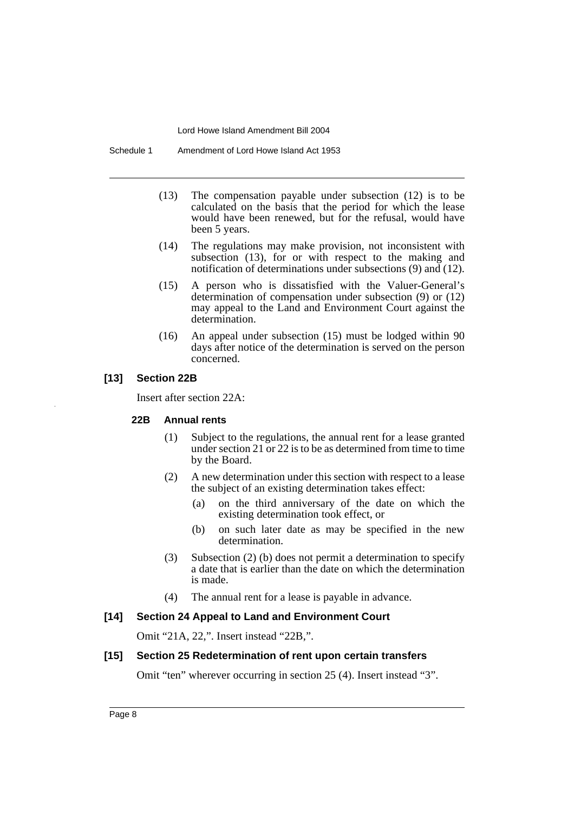Schedule 1 Amendment of Lord Howe Island Act 1953

- (13) The compensation payable under subsection (12) is to be calculated on the basis that the period for which the lease would have been renewed, but for the refusal, would have been 5 years.
- (14) The regulations may make provision, not inconsistent with subsection (13), for or with respect to the making and notification of determinations under subsections (9) and (12).
- (15) A person who is dissatisfied with the Valuer-General's determination of compensation under subsection (9) or (12) may appeal to the Land and Environment Court against the determination.
- (16) An appeal under subsection (15) must be lodged within 90 days after notice of the determination is served on the person concerned.

### **[13] Section 22B**

Insert after section 22A:

#### **22B Annual rents**

- (1) Subject to the regulations, the annual rent for a lease granted under section 21 or 22 is to be as determined from time to time by the Board.
- (2) A new determination under this section with respect to a lease the subject of an existing determination takes effect:
	- (a) on the third anniversary of the date on which the existing determination took effect, or
	- (b) on such later date as may be specified in the new determination.
- (3) Subsection (2) (b) does not permit a determination to specify a date that is earlier than the date on which the determination is made.
- (4) The annual rent for a lease is payable in advance.

### **[14] Section 24 Appeal to Land and Environment Court**

Omit "21A, 22,". Insert instead "22B,".

#### **[15] Section 25 Redetermination of rent upon certain transfers**

Omit "ten" wherever occurring in section 25 (4). Insert instead "3".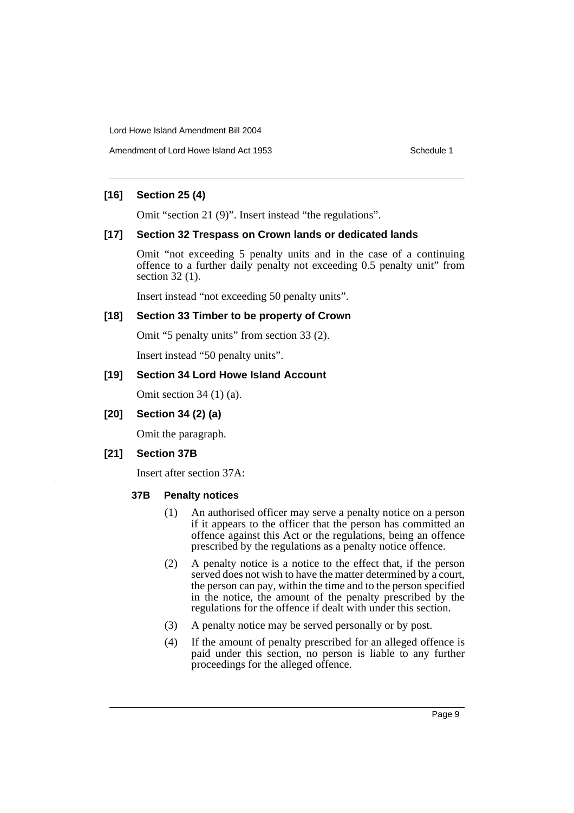Amendment of Lord Howe Island Act 1953 Schedule 1

## **[16] Section 25 (4)**

Omit "section 21 (9)". Insert instead "the regulations".

### **[17] Section 32 Trespass on Crown lands or dedicated lands**

Omit "not exceeding 5 penalty units and in the case of a continuing offence to a further daily penalty not exceeding 0.5 penalty unit" from section 32 (1).

Insert instead "not exceeding 50 penalty units".

#### **[18] Section 33 Timber to be property of Crown**

Omit "5 penalty units" from section 33 (2).

Insert instead "50 penalty units".

## **[19] Section 34 Lord Howe Island Account**

Omit section 34 (1) (a).

**[20] Section 34 (2) (a)**

Omit the paragraph.

### **[21] Section 37B**

Insert after section 37A:

### **37B Penalty notices**

- (1) An authorised officer may serve a penalty notice on a person if it appears to the officer that the person has committed an offence against this Act or the regulations, being an offence prescribed by the regulations as a penalty notice offence.
- (2) A penalty notice is a notice to the effect that, if the person served does not wish to have the matter determined by a court, the person can pay, within the time and to the person specified in the notice, the amount of the penalty prescribed by the regulations for the offence if dealt with under this section.
- (3) A penalty notice may be served personally or by post.
- (4) If the amount of penalty prescribed for an alleged offence is paid under this section, no person is liable to any further proceedings for the alleged offence.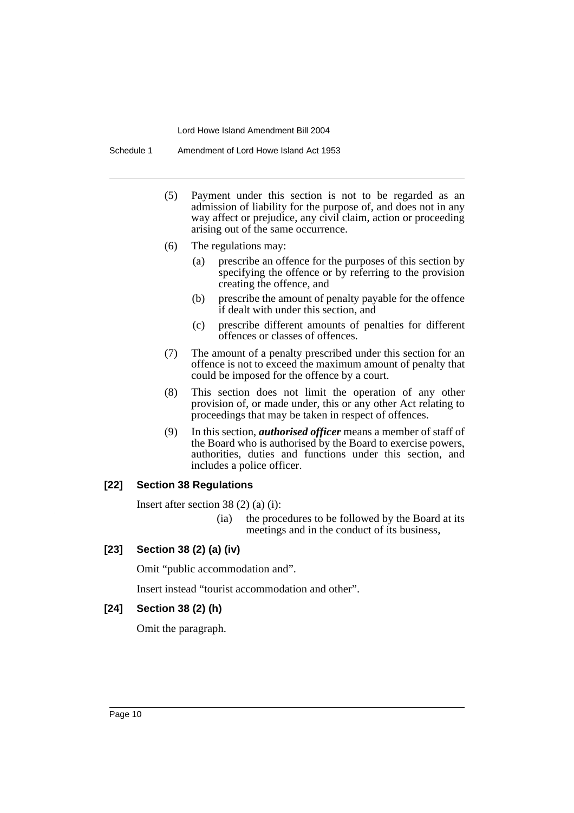Schedule 1 Amendment of Lord Howe Island Act 1953

- (5) Payment under this section is not to be regarded as an admission of liability for the purpose of, and does not in any way affect or prejudice, any civil claim, action or proceeding arising out of the same occurrence.
- (6) The regulations may:
	- (a) prescribe an offence for the purposes of this section by specifying the offence or by referring to the provision creating the offence, and
	- (b) prescribe the amount of penalty payable for the offence if dealt with under this section, and
	- (c) prescribe different amounts of penalties for different offences or classes of offences.
- (7) The amount of a penalty prescribed under this section for an offence is not to exceed the maximum amount of penalty that could be imposed for the offence by a court.
- (8) This section does not limit the operation of any other provision of, or made under, this or any other Act relating to proceedings that may be taken in respect of offences.
- (9) In this section, *authorised officer* means a member of staff of the Board who is authorised by the Board to exercise powers, authorities, duties and functions under this section, and includes a police officer.

#### **[22] Section 38 Regulations**

Insert after section 38 (2) (a) (i):

- (ia) the procedures to be followed by the Board at its meetings and in the conduct of its business,
- **[23] Section 38 (2) (a) (iv)**

Omit "public accommodation and".

Insert instead "tourist accommodation and other".

#### **[24] Section 38 (2) (h)**

Omit the paragraph.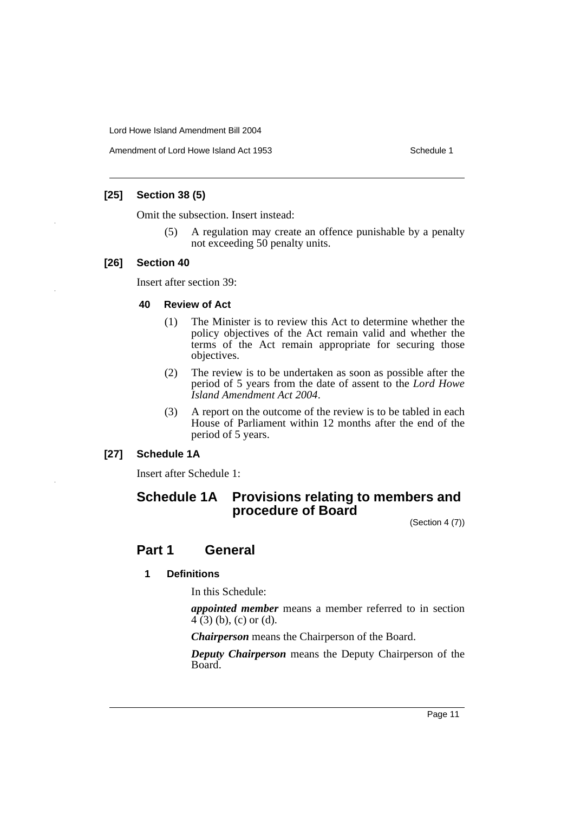Amendment of Lord Howe Island Act 1953 Schedule 1

## **[25] Section 38 (5)**

Omit the subsection. Insert instead:

(5) A regulation may create an offence punishable by a penalty not exceeding 50 penalty units.

## **[26] Section 40**

Insert after section 39:

#### **40 Review of Act**

- (1) The Minister is to review this Act to determine whether the policy objectives of the Act remain valid and whether the terms of the Act remain appropriate for securing those objectives.
- (2) The review is to be undertaken as soon as possible after the period of 5 years from the date of assent to the *Lord Howe Island Amendment Act 2004*.
- (3) A report on the outcome of the review is to be tabled in each House of Parliament within 12 months after the end of the period of 5 years.

## **[27] Schedule 1A**

Insert after Schedule 1:

## **Schedule 1A Provisions relating to members and procedure of Board**

(Section 4 (7))

## **Part 1 General**

## **1 Definitions**

In this Schedule:

*appointed member* means a member referred to in section  $\overline{4}$  (3) (b), (c) or (d).

*Chairperson* means the Chairperson of the Board.

*Deputy Chairperson* means the Deputy Chairperson of the Board.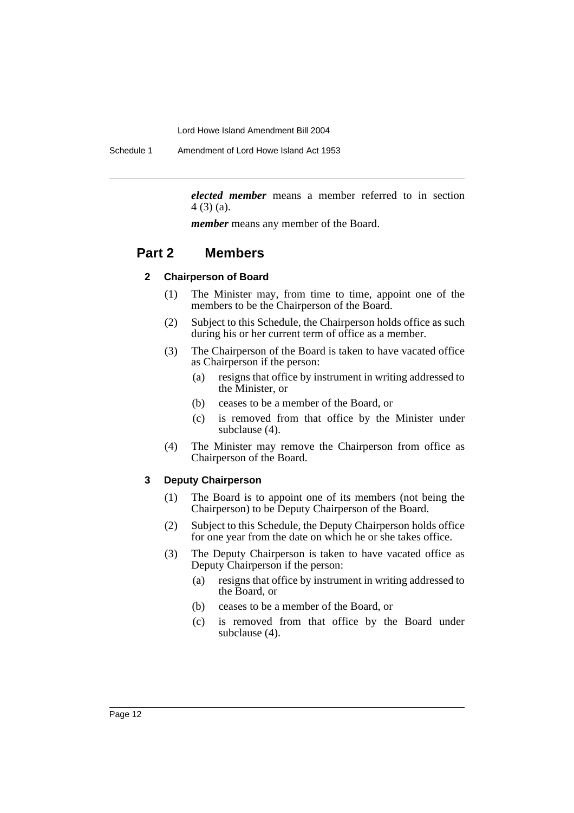Schedule 1 Amendment of Lord Howe Island Act 1953

*elected member* means a member referred to in section 4 (3) (a).

*member* means any member of the Board.

# **Part 2 Members**

#### **2 Chairperson of Board**

- (1) The Minister may, from time to time, appoint one of the members to be the Chairperson of the Board.
- (2) Subject to this Schedule, the Chairperson holds office as such during his or her current term of office as a member.
- (3) The Chairperson of the Board is taken to have vacated office as Chairperson if the person:
	- (a) resigns that office by instrument in writing addressed to the Minister, or
	- (b) ceases to be a member of the Board, or
	- (c) is removed from that office by the Minister under subclause (4).
- (4) The Minister may remove the Chairperson from office as Chairperson of the Board.

#### **3 Deputy Chairperson**

- (1) The Board is to appoint one of its members (not being the Chairperson) to be Deputy Chairperson of the Board.
- (2) Subject to this Schedule, the Deputy Chairperson holds office for one year from the date on which he or she takes office.
- (3) The Deputy Chairperson is taken to have vacated office as Deputy Chairperson if the person:
	- (a) resigns that office by instrument in writing addressed to the Board, or
	- (b) ceases to be a member of the Board, or
	- (c) is removed from that office by the Board under subclause (4).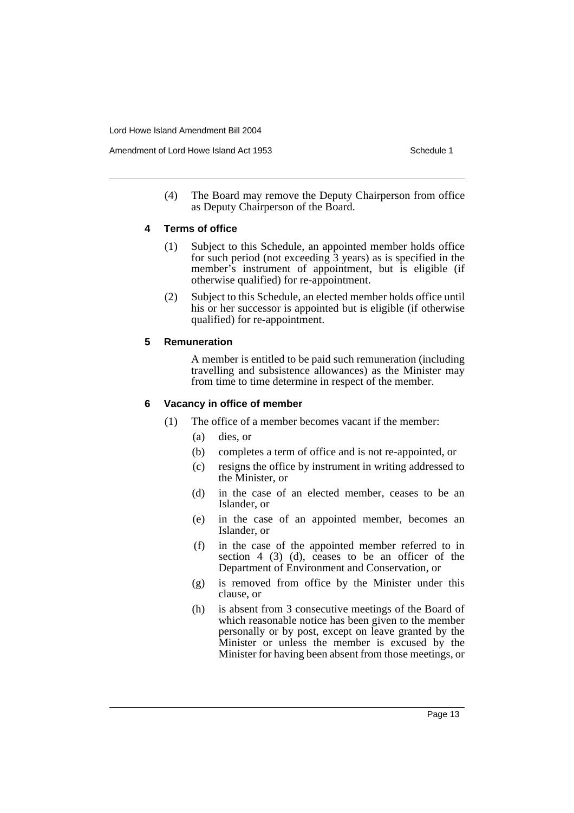(4) The Board may remove the Deputy Chairperson from office as Deputy Chairperson of the Board.

## **4 Terms of office**

- (1) Subject to this Schedule, an appointed member holds office for such period (not exceeding 3 years) as is specified in the member's instrument of appointment, but is eligible (if otherwise qualified) for re-appointment.
- (2) Subject to this Schedule, an elected member holds office until his or her successor is appointed but is eligible (if otherwise qualified) for re-appointment.

## **5 Remuneration**

A member is entitled to be paid such remuneration (including travelling and subsistence allowances) as the Minister may from time to time determine in respect of the member.

## **6 Vacancy in office of member**

- (1) The office of a member becomes vacant if the member:
	- (a) dies, or
	- (b) completes a term of office and is not re-appointed, or
	- (c) resigns the office by instrument in writing addressed to the Minister, or
	- (d) in the case of an elected member, ceases to be an Islander, or
	- (e) in the case of an appointed member, becomes an Islander, or
	- (f) in the case of the appointed member referred to in section 4 (3) (d), ceases to be an officer of the Department of Environment and Conservation, or
	- (g) is removed from office by the Minister under this clause, or
	- (h) is absent from 3 consecutive meetings of the Board of which reasonable notice has been given to the member personally or by post, except on leave granted by the Minister or unless the member is excused by the Minister for having been absent from those meetings, or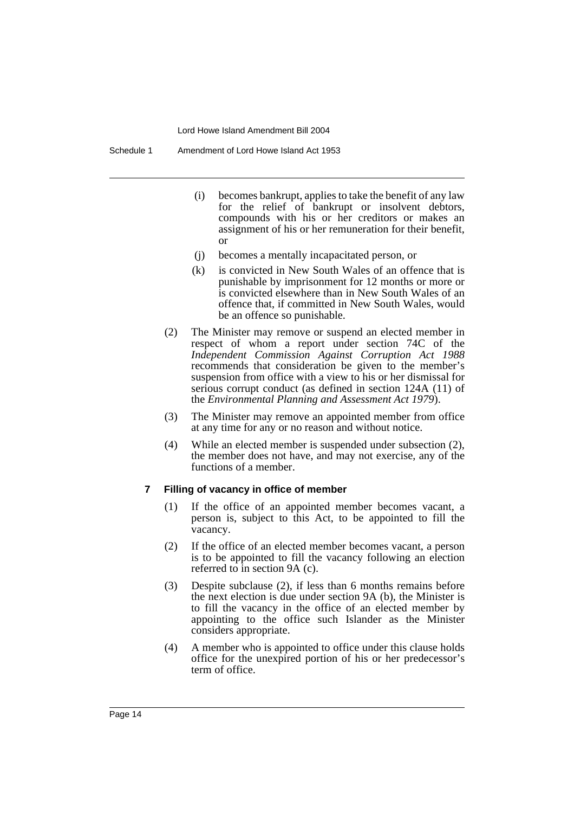- (i) becomes bankrupt, applies to take the benefit of any law for the relief of bankrupt or insolvent debtors, compounds with his or her creditors or makes an assignment of his or her remuneration for their benefit, or
- (j) becomes a mentally incapacitated person, or
- (k) is convicted in New South Wales of an offence that is punishable by imprisonment for 12 months or more or is convicted elsewhere than in New South Wales of an offence that, if committed in New South Wales, would be an offence so punishable.
- (2) The Minister may remove or suspend an elected member in respect of whom a report under section 74C of the *Independent Commission Against Corruption Act 1988* recommends that consideration be given to the member's suspension from office with a view to his or her dismissal for serious corrupt conduct (as defined in section 124A (11) of the *Environmental Planning and Assessment Act 1979*).
- (3) The Minister may remove an appointed member from office at any time for any or no reason and without notice.
- (4) While an elected member is suspended under subsection (2), the member does not have, and may not exercise, any of the functions of a member.

#### **7 Filling of vacancy in office of member**

- (1) If the office of an appointed member becomes vacant, a person is, subject to this Act, to be appointed to fill the vacancy.
- (2) If the office of an elected member becomes vacant, a person is to be appointed to fill the vacancy following an election referred to in section 9A (c).
- (3) Despite subclause (2), if less than 6 months remains before the next election is due under section 9A (b), the Minister is to fill the vacancy in the office of an elected member by appointing to the office such Islander as the Minister considers appropriate.
- (4) A member who is appointed to office under this clause holds office for the unexpired portion of his or her predecessor's term of office.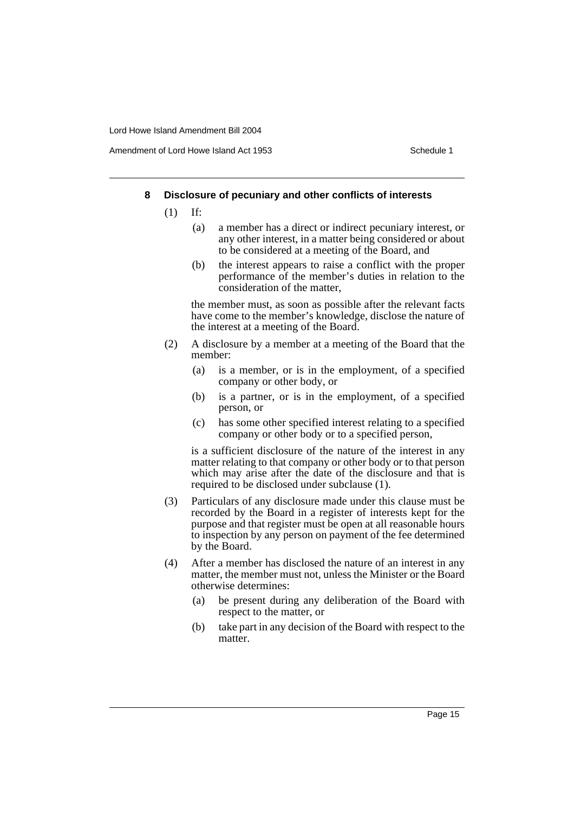#### **8 Disclosure of pecuniary and other conflicts of interests**

- (1) If:
	- (a) a member has a direct or indirect pecuniary interest, or any other interest, in a matter being considered or about to be considered at a meeting of the Board, and
	- (b) the interest appears to raise a conflict with the proper performance of the member's duties in relation to the consideration of the matter,

the member must, as soon as possible after the relevant facts have come to the member's knowledge, disclose the nature of the interest at a meeting of the Board.

- (2) A disclosure by a member at a meeting of the Board that the member:
	- (a) is a member, or is in the employment, of a specified company or other body, or
	- (b) is a partner, or is in the employment, of a specified person, or
	- (c) has some other specified interest relating to a specified company or other body or to a specified person,

is a sufficient disclosure of the nature of the interest in any matter relating to that company or other body or to that person which may arise after the date of the disclosure and that is required to be disclosed under subclause (1).

- (3) Particulars of any disclosure made under this clause must be recorded by the Board in a register of interests kept for the purpose and that register must be open at all reasonable hours to inspection by any person on payment of the fee determined by the Board.
- (4) After a member has disclosed the nature of an interest in any matter, the member must not, unless the Minister or the Board otherwise determines:
	- (a) be present during any deliberation of the Board with respect to the matter, or
	- (b) take part in any decision of the Board with respect to the matter.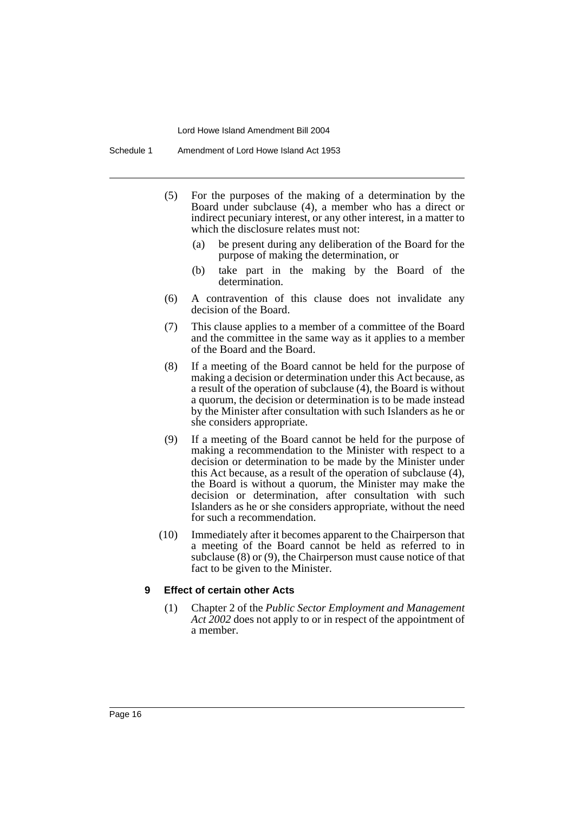Schedule 1 Amendment of Lord Howe Island Act 1953

- (5) For the purposes of the making of a determination by the Board under subclause (4), a member who has a direct or indirect pecuniary interest, or any other interest, in a matter to which the disclosure relates must not:
	- (a) be present during any deliberation of the Board for the purpose of making the determination, or
	- (b) take part in the making by the Board of the determination.
- (6) A contravention of this clause does not invalidate any decision of the Board.
- (7) This clause applies to a member of a committee of the Board and the committee in the same way as it applies to a member of the Board and the Board.
- (8) If a meeting of the Board cannot be held for the purpose of making a decision or determination under this Act because, as a result of the operation of subclause (4), the Board is without a quorum, the decision or determination is to be made instead by the Minister after consultation with such Islanders as he or she considers appropriate.
- (9) If a meeting of the Board cannot be held for the purpose of making a recommendation to the Minister with respect to a decision or determination to be made by the Minister under this Act because, as a result of the operation of subclause (4), the Board is without a quorum, the Minister may make the decision or determination, after consultation with such Islanders as he or she considers appropriate, without the need for such a recommendation.
- (10) Immediately after it becomes apparent to the Chairperson that a meeting of the Board cannot be held as referred to in subclause (8) or (9), the Chairperson must cause notice of that fact to be given to the Minister.

#### **9 Effect of certain other Acts**

(1) Chapter 2 of the *Public Sector Employment and Management Act 2002* does not apply to or in respect of the appointment of a member.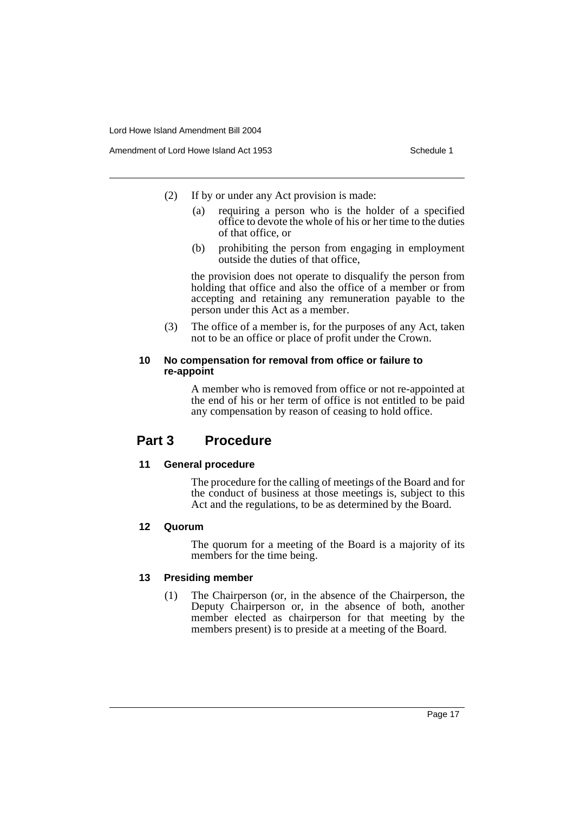- (2) If by or under any Act provision is made:
	- (a) requiring a person who is the holder of a specified office to devote the whole of his or her time to the duties of that office, or
	- (b) prohibiting the person from engaging in employment outside the duties of that office,

the provision does not operate to disqualify the person from holding that office and also the office of a member or from accepting and retaining any remuneration payable to the person under this Act as a member.

(3) The office of a member is, for the purposes of any Act, taken not to be an office or place of profit under the Crown.

## **10 No compensation for removal from office or failure to re-appoint**

A member who is removed from office or not re-appointed at the end of his or her term of office is not entitled to be paid any compensation by reason of ceasing to hold office.

## **Part 3 Procedure**

### **11 General procedure**

The procedure for the calling of meetings of the Board and for the conduct of business at those meetings is, subject to this Act and the regulations, to be as determined by the Board.

## **12 Quorum**

The quorum for a meeting of the Board is a majority of its members for the time being.

### **13 Presiding member**

(1) The Chairperson (or, in the absence of the Chairperson, the Deputy Chairperson or, in the absence of both, another member elected as chairperson for that meeting by the members present) is to preside at a meeting of the Board.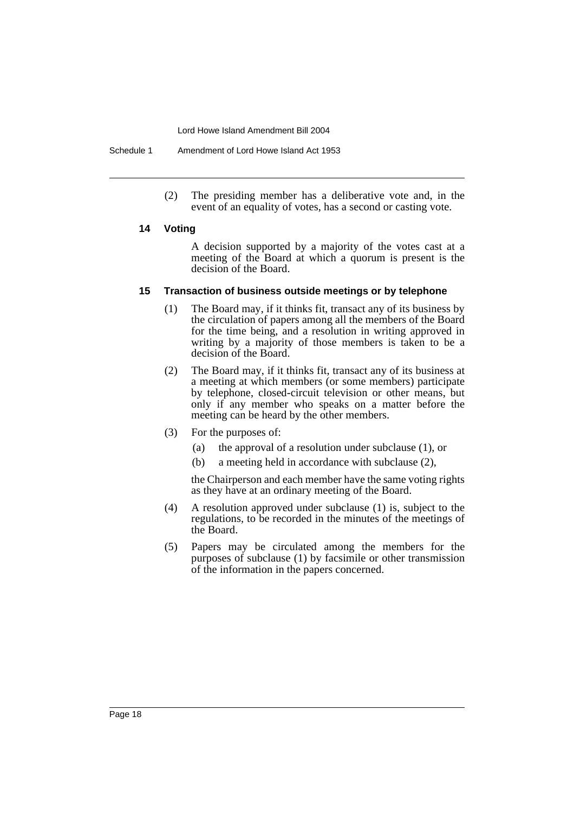Schedule 1 Amendment of Lord Howe Island Act 1953

(2) The presiding member has a deliberative vote and, in the event of an equality of votes, has a second or casting vote.

#### **14 Voting**

A decision supported by a majority of the votes cast at a meeting of the Board at which a quorum is present is the decision of the Board.

#### **15 Transaction of business outside meetings or by telephone**

- (1) The Board may, if it thinks fit, transact any of its business by the circulation of papers among all the members of the Board for the time being, and a resolution in writing approved in writing by a majority of those members is taken to be a decision of the Board.
- (2) The Board may, if it thinks fit, transact any of its business at a meeting at which members (or some members) participate by telephone, closed-circuit television or other means, but only if any member who speaks on a matter before the meeting can be heard by the other members.
- (3) For the purposes of:
	- (a) the approval of a resolution under subclause (1), or
	- (b) a meeting held in accordance with subclause (2),

the Chairperson and each member have the same voting rights as they have at an ordinary meeting of the Board.

- (4) A resolution approved under subclause (1) is, subject to the regulations, to be recorded in the minutes of the meetings of the Board.
- (5) Papers may be circulated among the members for the purposes of subclause (1) by facsimile or other transmission of the information in the papers concerned.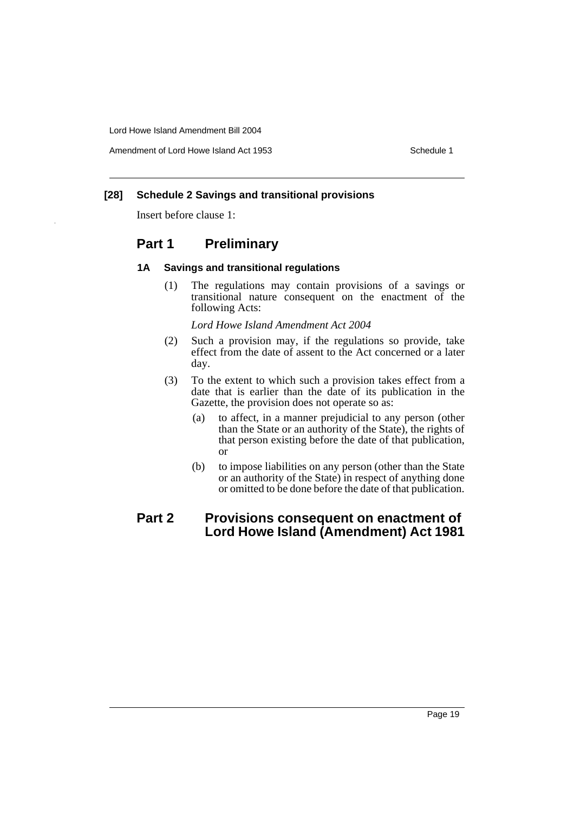Amendment of Lord Howe Island Act 1953 Schedule 1

## **[28] Schedule 2 Savings and transitional provisions**

Insert before clause 1:

# **Part 1 Preliminary**

#### **1A Savings and transitional regulations**

(1) The regulations may contain provisions of a savings or transitional nature consequent on the enactment of the following Acts:

*Lord Howe Island Amendment Act 2004*

- (2) Such a provision may, if the regulations so provide, take effect from the date of assent to the Act concerned or a later day.
- (3) To the extent to which such a provision takes effect from a date that is earlier than the date of its publication in the Gazette, the provision does not operate so as:
	- (a) to affect, in a manner prejudicial to any person (other than the State or an authority of the State), the rights of that person existing before the date of that publication, or
	- (b) to impose liabilities on any person (other than the State or an authority of the State) in respect of anything done or omitted to be done before the date of that publication.

# **Part 2 Provisions consequent on enactment of Lord Howe Island (Amendment) Act 1981**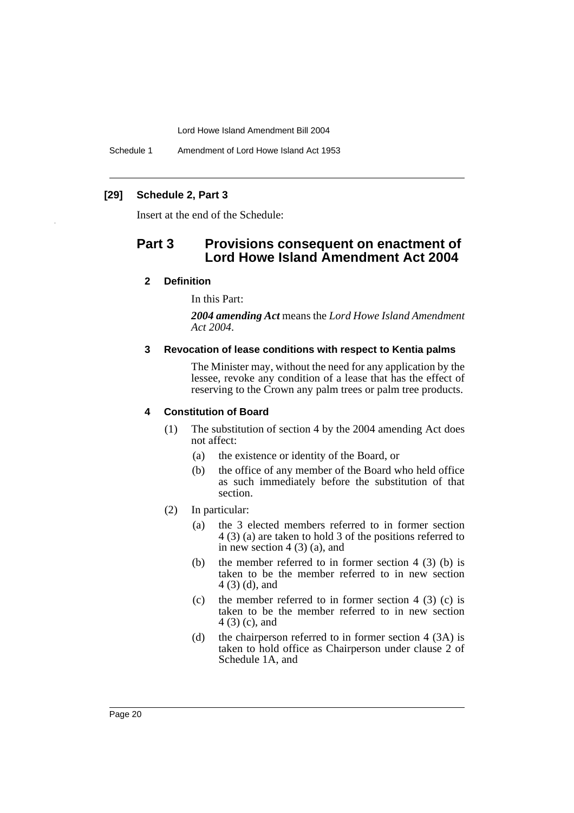Schedule 1 Amendment of Lord Howe Island Act 1953

## **[29] Schedule 2, Part 3**

Insert at the end of the Schedule:

# **Part 3 Provisions consequent on enactment of Lord Howe Island Amendment Act 2004**

#### **2 Definition**

In this Part:

*2004 amending Act* means the *Lord Howe Island Amendment Act 2004*.

#### **3 Revocation of lease conditions with respect to Kentia palms**

The Minister may, without the need for any application by the lessee, revoke any condition of a lease that has the effect of reserving to the Crown any palm trees or palm tree products.

#### **4 Constitution of Board**

- (1) The substitution of section 4 by the 2004 amending Act does not affect:
	- (a) the existence or identity of the Board, or
	- (b) the office of any member of the Board who held office as such immediately before the substitution of that section.
- (2) In particular:
	- (a) the 3 elected members referred to in former section 4 (3) (a) are taken to hold 3 of the positions referred to in new section  $4(3)(a)$ , and
	- (b) the member referred to in former section  $4$  (3) (b) is taken to be the member referred to in new section 4 (3) (d), and
	- (c) the member referred to in former section  $4$  (3) (c) is taken to be the member referred to in new section 4 (3) (c), and
	- (d) the chairperson referred to in former section 4 (3A) is taken to hold office as Chairperson under clause 2 of Schedule 1A, and